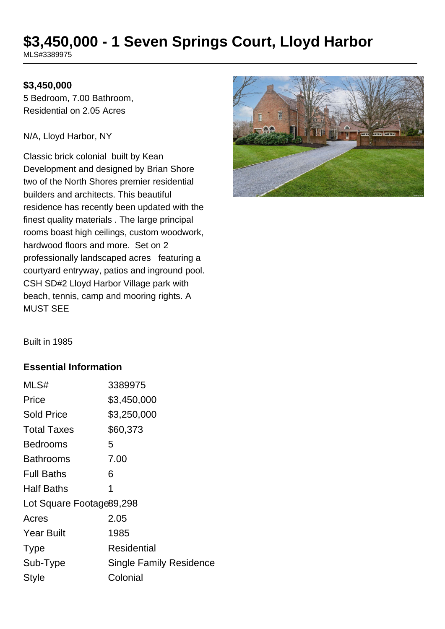# **\$3,450,000 - 1 Seven Springs Court, Lloyd Harbor**

MLS#3389975

#### **\$3,450,000**

5 Bedroom, 7.00 Bathroom, Residential on 2.05 Acres

N/A, Lloyd Harbor, NY

Classic brick colonial built by Kean Development and designed by Brian Shore two of the North Shores premier residential builders and architects. This beautiful residence has recently been updated with the finest quality materials . The large principal rooms boast high ceilings, custom woodwork, hardwood floors and more. Set on 2 professionally landscaped acres featuring a courtyard entryway, patios and inground pool. CSH SD#2 Lloyd Harbor Village park with beach, tennis, camp and mooring rights. A MUST SEE



Built in 1985

#### **Essential Information**

| MLS#                      | 3389975                        |  |
|---------------------------|--------------------------------|--|
| Price                     | \$3,450,000                    |  |
| <b>Sold Price</b>         | \$3,250,000                    |  |
| <b>Total Taxes</b>        | \$60,373                       |  |
| Bedrooms                  | 5                              |  |
| <b>Bathrooms</b>          | 7.00                           |  |
| <b>Full Baths</b>         | 6                              |  |
| <b>Half Baths</b>         | 1                              |  |
| Lot Square Footage 89,298 |                                |  |
| Acres                     | 2.05                           |  |
| <b>Year Built</b>         | 1985                           |  |
| <b>Type</b>               | Residential                    |  |
| Sub-Type                  | <b>Single Family Residence</b> |  |
| Style                     | Colonial                       |  |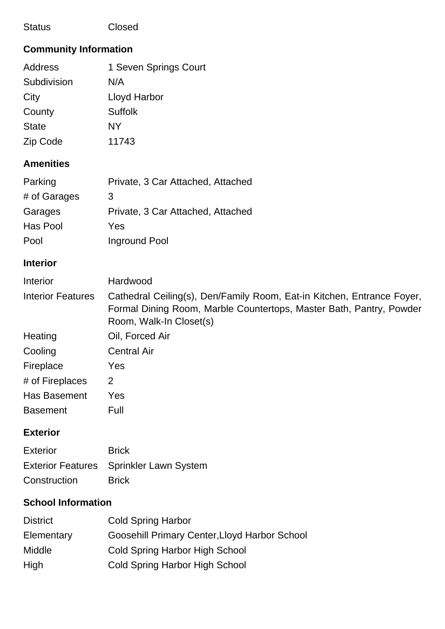#### Status Closed

# **Community Information**

| Address      | 1 Seven Springs Court |
|--------------|-----------------------|
| Subdivision  | N/A                   |
| City         | Lloyd Harbor          |
| County       | Suffolk               |
| <b>State</b> | NY                    |
| Zip Code     | 11743                 |
|              |                       |

## **Amenities**

| Parking      | Private, 3 Car Attached, Attached |
|--------------|-----------------------------------|
| # of Garages | 3                                 |
| Garages      | Private, 3 Car Attached, Attached |
| Has Pool     | Yes                               |
| Pool         | Inground Pool                     |

## **Interior**

| <b>Interior</b>          | Hardwood                                                                                                                                                                 |
|--------------------------|--------------------------------------------------------------------------------------------------------------------------------------------------------------------------|
| <b>Interior Features</b> | Cathedral Ceiling(s), Den/Family Room, Eat-in Kitchen, Entrance Foyer,<br>Formal Dining Room, Marble Countertops, Master Bath, Pantry, Powder<br>Room, Walk-In Closet(s) |
| Heating                  | Oil, Forced Air                                                                                                                                                          |
| Cooling                  | <b>Central Air</b>                                                                                                                                                       |
| Fireplace                | Yes                                                                                                                                                                      |
| # of Fireplaces          | 2                                                                                                                                                                        |
| Has Basement             | Yes                                                                                                                                                                      |
| <b>Basement</b>          | Full                                                                                                                                                                     |

## **Exterior**

| Exterior     | <b>Brick</b>                            |
|--------------|-----------------------------------------|
|              | Exterior Features Sprinkler Lawn System |
| Construction | <b>Brick</b>                            |

## **School Information**

| <b>District</b> | <b>Cold Spring Harbor</b>                     |
|-----------------|-----------------------------------------------|
| Elementary      | Goosehill Primary Center, Lloyd Harbor School |
| Middle          | Cold Spring Harbor High School                |
| High            | <b>Cold Spring Harbor High School</b>         |